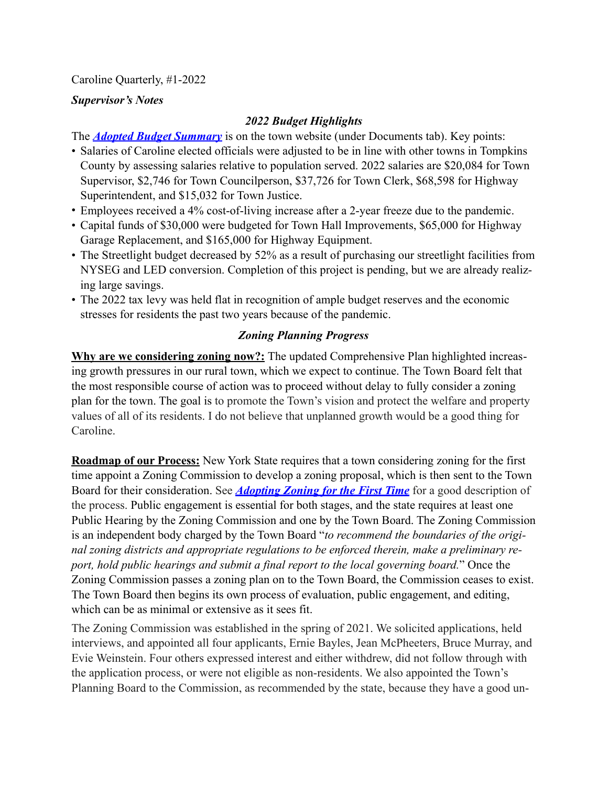Caroline Quarterly, #1-2022

## *Supervisor's Notes*

# *2022 Budget Highlights*

The *[Adopted Budget Summary](http://www.townofcaroline.org/uploads/6/2/7/8/62781479/2022_adopted_budget_summary.pdf)* is on the town website (under Documents tab). Key points:

- Salaries of Caroline elected officials were adjusted to be in line with other towns in Tompkins County by assessing salaries relative to population served. 2022 salaries are \$20,084 for Town Supervisor, \$2,746 for Town Councilperson, \$37,726 for Town Clerk, \$68,598 for Highway Superintendent, and \$15,032 for Town Justice.
- Employees received a 4% cost-of-living increase after a 2-year freeze due to the pandemic.
- Capital funds of \$30,000 were budgeted for Town Hall Improvements, \$65,000 for Highway Garage Replacement, and \$165,000 for Highway Equipment.
- The Streetlight budget decreased by 52% as a result of purchasing our streetlight facilities from NYSEG and LED conversion. Completion of this project is pending, but we are already realizing large savings.
- The 2022 tax levy was held flat in recognition of ample budget reserves and the economic stresses for residents the past two years because of the pandemic.

# *Zoning Planning Progress*

**Why are we considering zoning now?:** The updated Comprehensive Plan highlighted increasing growth pressures in our rural town, which we expect to continue. The Town Board felt that the most responsible course of action was to proceed without delay to fully consider a zoning plan for the town. The goal is to promote the Town's vision and protect the welfare and property values of all of its residents. I do not believe that unplanned growth would be a good thing for Caroline.

**Roadmap of our Process:** New York State requires that a town considering zoning for the first time appoint a Zoning Commission to develop a zoning proposal, which is then sent to the Town Board for their consideration. See *[Adopting Zoning for the First Time](https://dos.ny.gov/system/files/documents/2021/10/adopting-zoning-for-the-first-time.pdf)* for a good description of the process. Public engagement is essential for both stages, and the state requires at least one Public Hearing by the Zoning Commission and one by the Town Board. The Zoning Commission is an independent body charged by the Town Board "*to recommend the boundaries of the original zoning districts and appropriate regulations to be enforced therein, make a preliminary report, hold public hearings and submit a final report to the local governing board.*" Once the Zoning Commission passes a zoning plan on to the Town Board, the Commission ceases to exist. The Town Board then begins its own process of evaluation, public engagement, and editing, which can be as minimal or extensive as it sees fit.

The Zoning Commission was established in the spring of 2021. We solicited applications, held interviews, and appointed all four applicants, Ernie Bayles, Jean McPheeters, Bruce Murray, and Evie Weinstein. Four others expressed interest and either withdrew, did not follow through with the application process, or were not eligible as non-residents. We also appointed the Town's Planning Board to the Commission, as recommended by the state, because they have a good un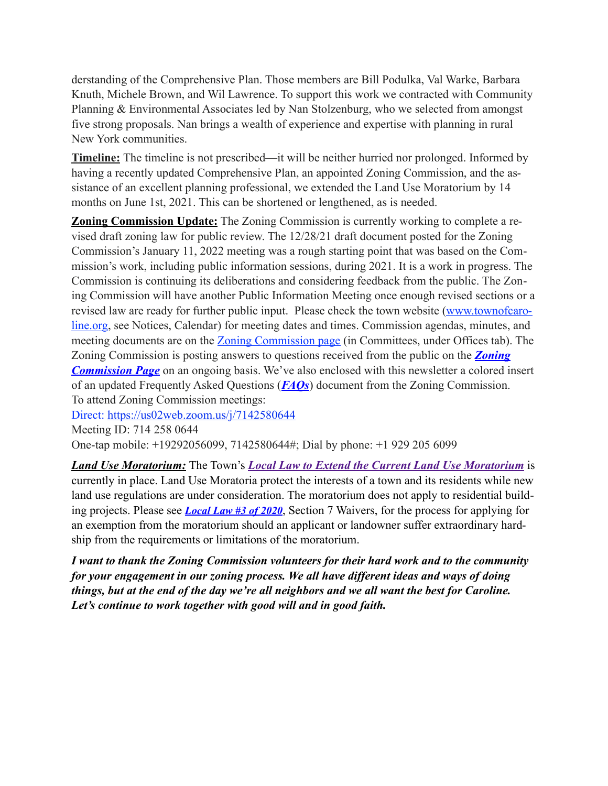derstanding of the Comprehensive Plan. Those members are Bill Podulka, Val Warke, Barbara Knuth, Michele Brown, and Wil Lawrence. To support this work we contracted with Community Planning & Environmental Associates led by Nan Stolzenburg, who we selected from amongst five strong proposals. Nan brings a wealth of experience and expertise with planning in rural New York communities.

**Timeline:** The timeline is not prescribed—it will be neither hurried nor prolonged. Informed by having a recently updated Comprehensive Plan, an appointed Zoning Commission, and the assistance of an excellent planning professional, we extended the Land Use Moratorium by 14 months on June 1st, 2021. This can be shortened or lengthened, as is needed.

**Zoning Commission Update:** The Zoning Commission is currently working to complete a revised draft zoning law for public review. The 12/28/21 draft document posted for the Zoning Commission's January 11, 2022 meeting was a rough starting point that was based on the Commission's work, including public information sessions, during 2021. It is a work in progress. The Commission is continuing its deliberations and considering feedback from the public. The Zoning Commission will have another Public Information Meeting once enough revised sections or a [revised law are ready for further public input. Please check the town website \(www.townofcaro](http://www.townofcaroline.org/)line.org, see Notices, Calendar) for meeting dates and times. Commission agendas, minutes, and meeting documents are on the **Zoning Commission page** (in Committees, under Offices tab). The [Zoning Commission is posting answers to questions received from the public on the](http://www.townofcaroline.org/zoning-commission1.html) *Zoning Commission Page* on an ongoing basis. We've also enclosed with this newsletter a colored insert of an updated Frequently Asked Questions (*FAQs*) document from the Zoning Commission. To attend Zoning Commission meetings:

Direct:<https://us02web.zoom.us/j/7142580644>

Meeting ID: 714 258 0644

One-tap mobile: +19292056099, 7142580644#; Dial by phone: +1 929 205 6099

*Land Use Moratorium:* The Town's *[Local Law to Extend the Current Land Use Moratorium](http://www.townofcaroline.org/uploads/6/2/7/8/62781479/toc_local_law____of_2021_amendment_and_extension_of_land_use_moratorium__draft_v2_.pdf)* is currently in place. Land Use Moratoria protect the interests of a town and its residents while new land use regulations are under consideration. The moratorium does not apply to residential building projects. Please see *[Local Law #3 of 2020](http://www.townofcaroline.org/uploads/6/2/7/8/62781479/toc_3_of_2020_-_land_use_moratorium_12-9-20.pdf)*, Section 7 Waivers, for the process for applying for an exemption from the moratorium should an applicant or landowner suffer extraordinary hardship from the requirements or limitations of the moratorium.

*I want to thank the Zoning Commission volunteers for their hard work and to the community for your engagement in our zoning process. We all have different ideas and ways of doing things, but at the end of the day we're all neighbors and we all want the best for Caroline. Let's continue to work together with good will and in good faith.*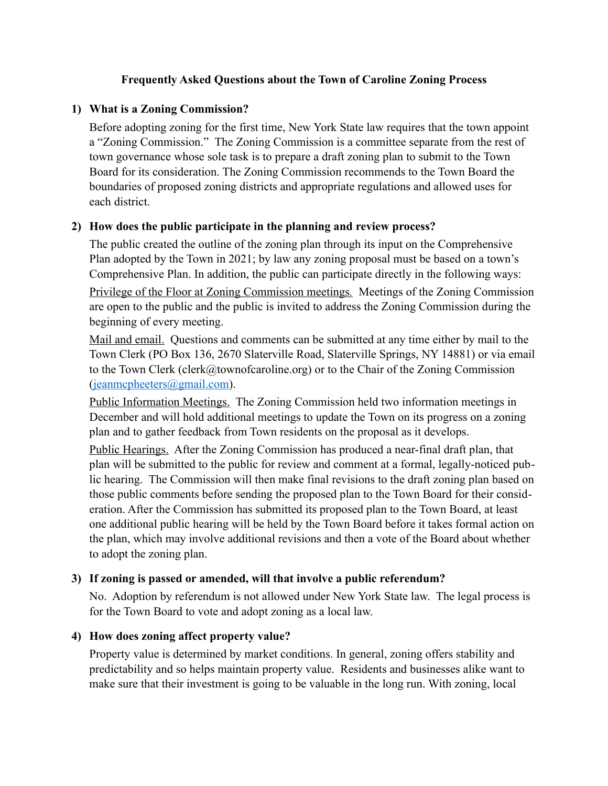### **Frequently Asked Questions about the Town of Caroline Zoning Process**

### **1) What is a Zoning Commission?**

Before adopting zoning for the first time, New York State law requires that the town appoint a "Zoning Commission." The Zoning Commission is a committee separate from the rest of town governance whose sole task is to prepare a draft zoning plan to submit to the Town Board for its consideration. The Zoning Commission recommends to the Town Board the boundaries of proposed zoning districts and appropriate regulations and allowed uses for each district.

### **2) How does the public participate in the planning and review process?**

The public created the outline of the zoning plan through its input on the Comprehensive Plan adopted by the Town in 2021; by law any zoning proposal must be based on a town's Comprehensive Plan. In addition, the public can participate directly in the following ways:

Privilege of the Floor at Zoning Commission meetings*.* Meetings of the Zoning Commission are open to the public and the public is invited to address the Zoning Commission during the beginning of every meeting.

Mail and email. Questions and comments can be submitted at any time either by mail to the Town Clerk (PO Box 136, 2670 Slaterville Road, Slaterville Springs, NY 14881) or via email to the Town Clerk (clerk@townofcaroline.org) or to the Chair of the Zoning Commission ([jeanmcpheeters@gmail.com\)](mailto:jeanmcpheeters@gmail.com).

Public Information Meetings. The Zoning Commission held two information meetings in December and will hold additional meetings to update the Town on its progress on a zoning plan and to gather feedback from Town residents on the proposal as it develops.

Public Hearings. After the Zoning Commission has produced a near-final draft plan, that plan will be submitted to the public for review and comment at a formal, legally-noticed public hearing. The Commission will then make final revisions to the draft zoning plan based on those public comments before sending the proposed plan to the Town Board for their consideration. After the Commission has submitted its proposed plan to the Town Board, at least one additional public hearing will be held by the Town Board before it takes formal action on the plan, which may involve additional revisions and then a vote of the Board about whether to adopt the zoning plan.

### **3) If zoning is passed or amended, will that involve a public referendum?**

No. Adoption by referendum is not allowed under New York State law. The legal process is for the Town Board to vote and adopt zoning as a local law.

### **4) How does zoning affect property value?**

Property value is determined by market conditions. In general, zoning offers stability and predictability and so helps maintain property value. Residents and businesses alike want to make sure that their investment is going to be valuable in the long run. With zoning, local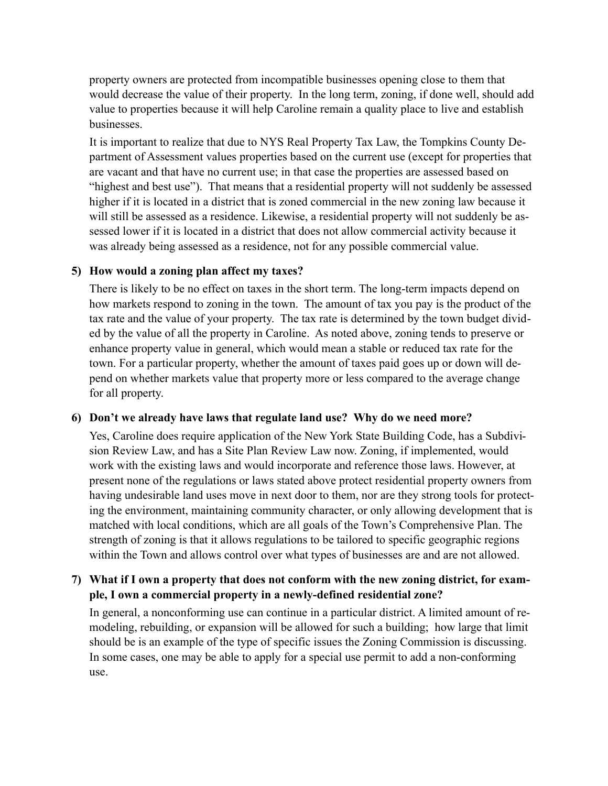property owners are protected from incompatible businesses opening close to them that would decrease the value of their property. In the long term, zoning, if done well, should add value to properties because it will help Caroline remain a quality place to live and establish businesses.

It is important to realize that due to NYS Real Property Tax Law, the Tompkins County Department of Assessment values properties based on the current use (except for properties that are vacant and that have no current use; in that case the properties are assessed based on "highest and best use"). That means that a residential property will not suddenly be assessed higher if it is located in a district that is zoned commercial in the new zoning law because it will still be assessed as a residence. Likewise, a residential property will not suddenly be assessed lower if it is located in a district that does not allow commercial activity because it was already being assessed as a residence, not for any possible commercial value.

#### **5) How would a zoning plan affect my taxes?**

There is likely to be no effect on taxes in the short term. The long-term impacts depend on how markets respond to zoning in the town. The amount of tax you pay is the product of the tax rate and the value of your property. The tax rate is determined by the town budget divided by the value of all the property in Caroline. As noted above, zoning tends to preserve or enhance property value in general, which would mean a stable or reduced tax rate for the town. For a particular property, whether the amount of taxes paid goes up or down will depend on whether markets value that property more or less compared to the average change for all property.

#### **6) Don't we already have laws that regulate land use? Why do we need more?**

Yes, Caroline does require application of the New York State Building Code, has a Subdivision Review Law, and has a Site Plan Review Law now. Zoning, if implemented, would work with the existing laws and would incorporate and reference those laws. However, at present none of the regulations or laws stated above protect residential property owners from having undesirable land uses move in next door to them, nor are they strong tools for protecting the environment, maintaining community character, or only allowing development that is matched with local conditions, which are all goals of the Town's Comprehensive Plan. The strength of zoning is that it allows regulations to be tailored to specific geographic regions within the Town and allows control over what types of businesses are and are not allowed.

### **7) What if I own a property that does not conform with the new zoning district, for example, I own a commercial property in a newly-defined residential zone?**

In general, a nonconforming use can continue in a particular district. A limited amount of remodeling, rebuilding, or expansion will be allowed for such a building; how large that limit should be is an example of the type of specific issues the Zoning Commission is discussing. In some cases, one may be able to apply for a special use permit to add a non-conforming use.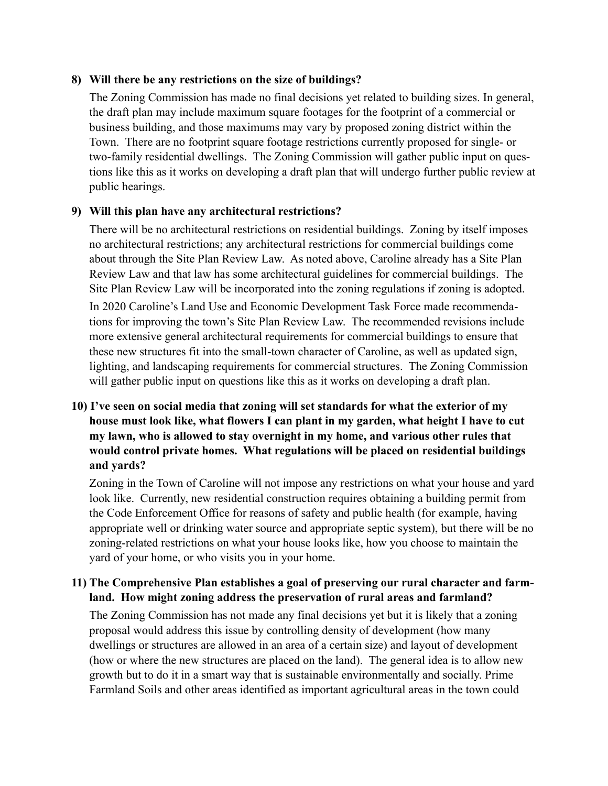### **8) Will there be any restrictions on the size of buildings?**

The Zoning Commission has made no final decisions yet related to building sizes. In general, the draft plan may include maximum square footages for the footprint of a commercial or business building, and those maximums may vary by proposed zoning district within the Town. There are no footprint square footage restrictions currently proposed for single- or two-family residential dwellings. The Zoning Commission will gather public input on questions like this as it works on developing a draft plan that will undergo further public review at public hearings.

### **9) Will this plan have any architectural restrictions?**

There will be no architectural restrictions on residential buildings. Zoning by itself imposes no architectural restrictions; any architectural restrictions for commercial buildings come about through the Site Plan Review Law. As noted above, Caroline already has a Site Plan Review Law and that law has some architectural guidelines for commercial buildings. The Site Plan Review Law will be incorporated into the zoning regulations if zoning is adopted. In 2020 Caroline's Land Use and Economic Development Task Force made recommendations for improving the town's Site Plan Review Law. The recommended revisions include more extensive general architectural requirements for commercial buildings to ensure that these new structures fit into the small-town character of Caroline, as well as updated sign, lighting, and landscaping requirements for commercial structures. The Zoning Commission will gather public input on questions like this as it works on developing a draft plan.

# **10) I've seen on social media that zoning will set standards for what the exterior of my house must look like, what flowers I can plant in my garden, what height I have to cut my lawn, who is allowed to stay overnight in my home, and various other rules that would control private homes. What regulations will be placed on residential buildings and yards?**

Zoning in the Town of Caroline will not impose any restrictions on what your house and yard look like. Currently, new residential construction requires obtaining a building permit from the Code Enforcement Office for reasons of safety and public health (for example, having appropriate well or drinking water source and appropriate septic system), but there will be no zoning-related restrictions on what your house looks like, how you choose to maintain the yard of your home, or who visits you in your home.

## **11) The Comprehensive Plan establishes a goal of preserving our rural character and farmland. How might zoning address the preservation of rural areas and farmland?**

The Zoning Commission has not made any final decisions yet but it is likely that a zoning proposal would address this issue by controlling density of development (how many dwellings or structures are allowed in an area of a certain size) and layout of development (how or where the new structures are placed on the land). The general idea is to allow new growth but to do it in a smart way that is sustainable environmentally and socially. Prime Farmland Soils and other areas identified as important agricultural areas in the town could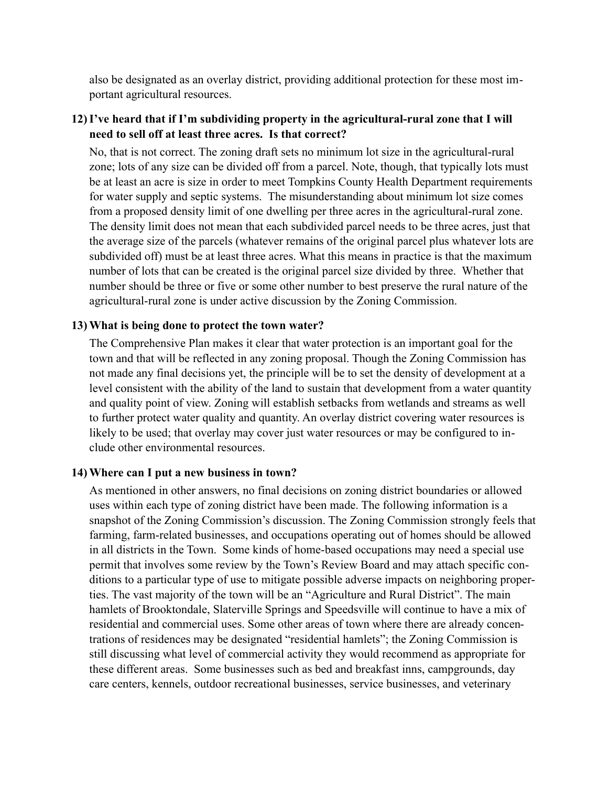also be designated as an overlay district, providing additional protection for these most important agricultural resources.

## **12) I've heard that if I'm subdividing property in the agricultural-rural zone that I will need to sell off at least three acres. Is that correct?**

No, that is not correct. The zoning draft sets no minimum lot size in the agricultural-rural zone; lots of any size can be divided off from a parcel. Note, though, that typically lots must be at least an acre is size in order to meet Tompkins County Health Department requirements for water supply and septic systems. The misunderstanding about minimum lot size comes from a proposed density limit of one dwelling per three acres in the agricultural-rural zone. The density limit does not mean that each subdivided parcel needs to be three acres, just that the average size of the parcels (whatever remains of the original parcel plus whatever lots are subdivided off) must be at least three acres. What this means in practice is that the maximum number of lots that can be created is the original parcel size divided by three. Whether that number should be three or five or some other number to best preserve the rural nature of the agricultural-rural zone is under active discussion by the Zoning Commission.

### **13) What is being done to protect the town water?**

The Comprehensive Plan makes it clear that water protection is an important goal for the town and that will be reflected in any zoning proposal. Though the Zoning Commission has not made any final decisions yet, the principle will be to set the density of development at a level consistent with the ability of the land to sustain that development from a water quantity and quality point of view. Zoning will establish setbacks from wetlands and streams as well to further protect water quality and quantity. An overlay district covering water resources is likely to be used; that overlay may cover just water resources or may be configured to include other environmental resources.

### **14) Where can I put a new business in town?**

As mentioned in other answers, no final decisions on zoning district boundaries or allowed uses within each type of zoning district have been made. The following information is a snapshot of the Zoning Commission's discussion. The Zoning Commission strongly feels that farming, farm-related businesses, and occupations operating out of homes should be allowed in all districts in the Town. Some kinds of home-based occupations may need a special use permit that involves some review by the Town's Review Board and may attach specific conditions to a particular type of use to mitigate possible adverse impacts on neighboring properties. The vast majority of the town will be an "Agriculture and Rural District". The main hamlets of Brooktondale, Slaterville Springs and Speedsville will continue to have a mix of residential and commercial uses. Some other areas of town where there are already concentrations of residences may be designated "residential hamlets"; the Zoning Commission is still discussing what level of commercial activity they would recommend as appropriate for these different areas. Some businesses such as bed and breakfast inns, campgrounds, day care centers, kennels, outdoor recreational businesses, service businesses, and veterinary